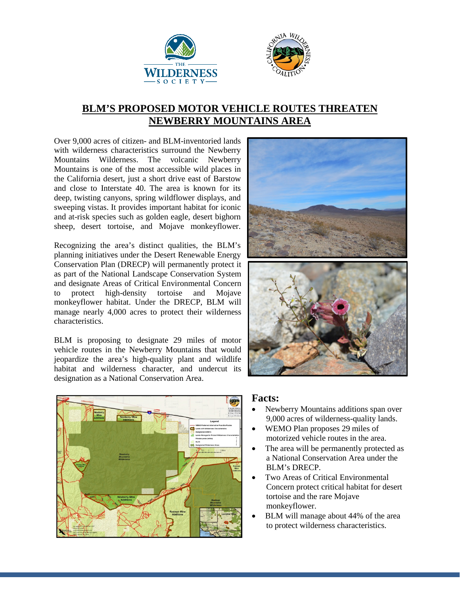



## **BLM'S PROPOSED MOTOR VEHICLE ROUTES THREATEN NEWBERRY MOUNTAINS AREA**

Over 9,000 acres of citizen- and BLM-inventoried lands with wilderness characteristics surround the Newberry Mountains Wilderness. The volcanic Newberry Mountains is one of the most accessible wild places in the California desert, just a short drive east of Barstow and close to Interstate 40. The area is known for its deep, twisting canyons, spring wildflower displays, and sweeping vistas. It provides important habitat for iconic and at-risk species such as golden eagle, desert bighorn sheep, desert tortoise, and Mojave monkeyflower.

Recognizing the area's distinct qualities, the BLM's planning initiatives under the Desert Renewable Energy Conservation Plan (DRECP) will permanently protect it as part of the National Landscape Conservation System and designate Areas of Critical Environmental Concern to protect high-density tortoise and Mojave monkeyflower habitat. Under the DRECP, BLM will manage nearly 4,000 acres to protect their wilderness characteristics.

BLM is proposing to designate 29 miles of motor vehicle routes in the Newberry Mountains that would jeopardize the area's high-quality plant and wildlife habitat and wilderness character, and undercut its designation as a National Conservation Area.





## **Facts:**

- Newberry Mountains additions span over 9,000 acres of wilderness-quality lands.
- WEMO Plan proposes 29 miles of motorized vehicle routes in the area.
- The area will be permanently protected as a National Conservation Area under the BLM's DRECP.
- Two Areas of Critical Environmental Concern protect critical habitat for desert tortoise and the rare Mojave monkeyflower.
- BLM will manage about 44% of the area to protect wilderness characteristics.